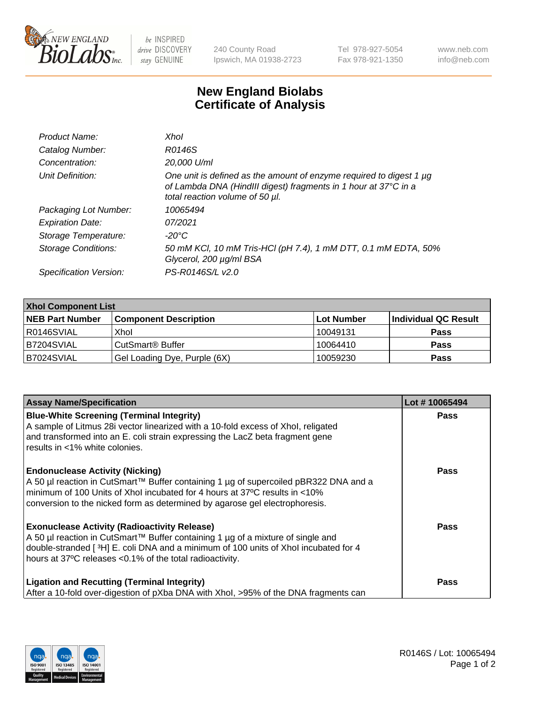

 $be$  INSPIRED drive DISCOVERY stay GENUINE

240 County Road Ipswich, MA 01938-2723 Tel 978-927-5054 Fax 978-921-1350 www.neb.com info@neb.com

## **New England Biolabs Certificate of Analysis**

| Product Name:           | Xhol                                                                                                                                                                      |
|-------------------------|---------------------------------------------------------------------------------------------------------------------------------------------------------------------------|
| Catalog Number:         | R0146S                                                                                                                                                                    |
| Concentration:          | 20,000 U/ml                                                                                                                                                               |
| Unit Definition:        | One unit is defined as the amount of enzyme required to digest 1 µg<br>of Lambda DNA (HindIII digest) fragments in 1 hour at 37°C in a<br>total reaction volume of 50 µl. |
| Packaging Lot Number:   | 10065494                                                                                                                                                                  |
| <b>Expiration Date:</b> | 07/2021                                                                                                                                                                   |
| Storage Temperature:    | -20°C                                                                                                                                                                     |
| Storage Conditions:     | 50 mM KCl, 10 mM Tris-HCl (pH 7.4), 1 mM DTT, 0.1 mM EDTA, 50%<br>Glycerol, 200 µg/ml BSA                                                                                 |
| Specification Version:  | PS-R0146S/L v2.0                                                                                                                                                          |

| <b>Xhol Component List</b> |                              |             |                      |  |  |
|----------------------------|------------------------------|-------------|----------------------|--|--|
| <b>NEB Part Number</b>     | <b>Component Description</b> | ∣Lot Number | Individual QC Result |  |  |
| R0146SVIAL                 | Xhol                         | 10049131    | <b>Pass</b>          |  |  |
| B7204SVIAL                 | CutSmart® Buffer             | 10064410    | <b>Pass</b>          |  |  |
| B7024SVIAL                 | Gel Loading Dye, Purple (6X) | 10059230    | <b>Pass</b>          |  |  |

| <b>Assay Name/Specification</b>                                                                                                                                                                                        | Lot #10065494 |
|------------------------------------------------------------------------------------------------------------------------------------------------------------------------------------------------------------------------|---------------|
| <b>Blue-White Screening (Terminal Integrity)</b><br>A sample of Litmus 28i vector linearized with a 10-fold excess of Xhol, religated<br>and transformed into an E. coli strain expressing the LacZ beta fragment gene | <b>Pass</b>   |
| results in <1% white colonies.                                                                                                                                                                                         |               |
| <b>Endonuclease Activity (Nicking)</b><br>A 50 µl reaction in CutSmart™ Buffer containing 1 µg of supercoiled pBR322 DNA and a                                                                                         | <b>Pass</b>   |
| minimum of 100 Units of Xhol incubated for 4 hours at 37°C results in <10%<br>conversion to the nicked form as determined by agarose gel electrophoresis.                                                              |               |
| <b>Exonuclease Activity (Radioactivity Release)</b><br>A 50 µl reaction in CutSmart™ Buffer containing 1 µg of a mixture of single and                                                                                 | <b>Pass</b>   |
| double-stranded [3H] E. coli DNA and a minimum of 100 units of Xhol incubated for 4<br>hours at 37°C releases <0.1% of the total radioactivity.                                                                        |               |
| <b>Ligation and Recutting (Terminal Integrity)</b><br>After a 10-fold over-digestion of pXba DNA with Xhol, >95% of the DNA fragments can                                                                              | <b>Pass</b>   |